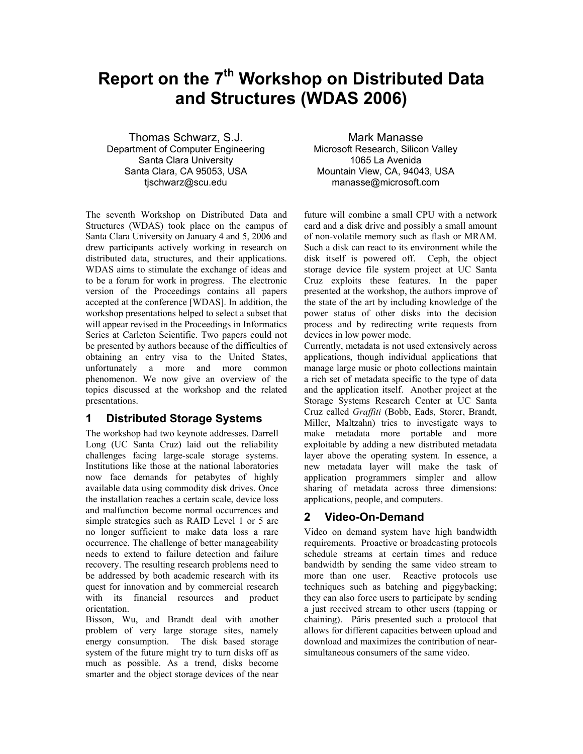# **Report on the 7<sup>th</sup> Workshop on Distributed Data and Structures (WDAS 2006)**

Thomas Schwarz, S.J. Department of Computer Engineering Santa Clara University Santa Clara, CA 95053, USA tjschwarz@scu.edu

The seventh Workshop on Distributed Data and Structures (WDAS) took place on the campus of Santa Clara University on January 4 and 5, 2006 and drew participants actively working in research on distributed data, structures, and their applications. WDAS aims to stimulate the exchange of ideas and to be a forum for work in progress. The electronic version of the Proceedings contains all papers accepted at the conference [WDAS]. In addition, the workshop presentations helped to select a subset that will appear revised in the Proceedings in Informatics Series at Carleton Scientific. Two papers could not be presented by authors because of the difficulties of obtaining an entry visa to the United States, unfortunately a more and more common phenomenon. We now give an overview of the topics discussed at the workshop and the related presentations.

## **1 Distributed Storage Systems**

The workshop had two keynote addresses. Darrell Long (UC Santa Cruz) laid out the reliability challenges facing large-scale storage systems. Institutions like those at the national laboratories now face demands for petabytes of highly available data using commodity disk drives. Once the installation reaches a certain scale, device loss and malfunction become normal occurrences and simple strategies such as RAID Level 1 or 5 are no longer sufficient to make data loss a rare occurrence. The challenge of better manageability needs to extend to failure detection and failure recovery. The resulting research problems need to be addressed by both academic research with its quest for innovation and by commercial research with its financial resources and product orientation.

Bisson, Wu, and Brandt deal with another problem of very large storage sites, namely energy consumption. The disk based storage system of the future might try to turn disks off as much as possible. As a trend, disks become smarter and the object storage devices of the near

Mark Manasse Microsoft Research, Silicon Valley 1065 La Avenida Mountain View, CA, 94043, USA manasse@microsoft.com

future will combine a small CPU with a network card and a disk drive and possibly a small amount of non-volatile memory such as flash or MRAM. Such a disk can react to its environment while the disk itself is powered off. Ceph, the object storage device file system project at UC Santa Cruz exploits these features. In the paper presented at the workshop, the authors improve of the state of the art by including knowledge of the power status of other disks into the decision process and by redirecting write requests from devices in low power mode.

Currently, metadata is not used extensively across applications, though individual applications that manage large music or photo collections maintain a rich set of metadata specific to the type of data and the application itself. Another project at the Storage Systems Research Center at UC Santa Cruz called *Graffiti* (Bobb, Eads, Storer, Brandt, Miller, Maltzahn) tries to investigate ways to make metadata more portable and more exploitable by adding a new distributed metadata layer above the operating system. In essence, a new metadata layer will make the task of application programmers simpler and allow sharing of metadata across three dimensions: applications, people, and computers.

# **2 Video-On-Demand**

Video on demand system have high bandwidth requirements. Proactive or broadcasting protocols schedule streams at certain times and reduce bandwidth by sending the same video stream to more than one user. Reactive protocols use techniques such as batching and piggybacking; they can also force users to participate by sending a just received stream to other users (tapping or chaining). Pâris presented such a protocol that allows for different capacities between upload and download and maximizes the contribution of nearsimultaneous consumers of the same video.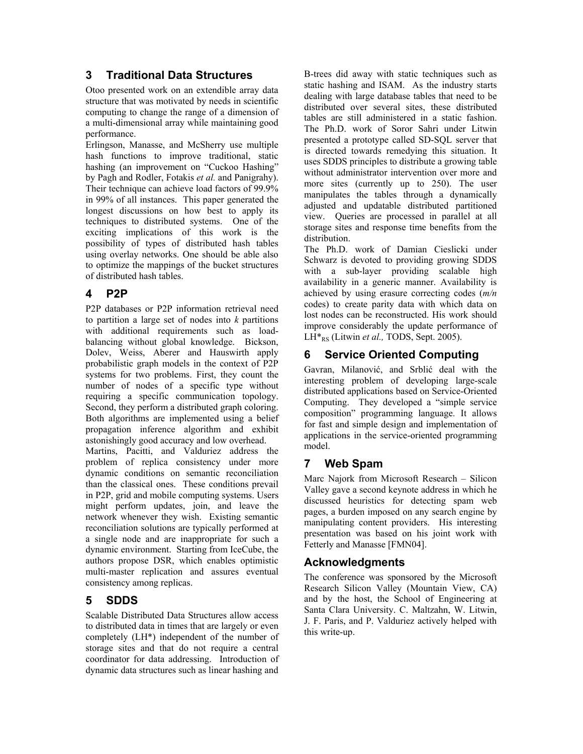# **3 Traditional Data Structures**

Otoo presented work on an extendible array data structure that was motivated by needs in scientific computing to change the range of a dimension of a multi-dimensional array while maintaining good performance.

Erlingson, Manasse, and McSherry use multiple hash functions to improve traditional, static hashing (an improvement on "Cuckoo Hashing" by Pagh and Rodler, Fotakis *et al.* and Panigrahy). Their technique can achieve load factors of 99.9% in 99% of all instances. This paper generated the longest discussions on how best to apply its techniques to distributed systems. One of the exciting implications of this work is the possibility of types of distributed hash tables using overlay networks. One should be able also to optimize the mappings of the bucket structures of distributed hash tables.

# **4 P2P**

P2P databases or P2P information retrieval need to partition a large set of nodes into *k* partitions with additional requirements such as loadbalancing without global knowledge. Bickson, Dolev, Weiss, Aberer and Hauswirth apply probabilistic graph models in the context of P2P systems for two problems. First, they count the number of nodes of a specific type without requiring a specific communication topology. Second, they perform a distributed graph coloring. Both algorithms are implemented using a belief propagation inference algorithm and exhibit astonishingly good accuracy and low overhead.

Martins, Pacitti, and Valduriez address the problem of replica consistency under more dynamic conditions on semantic reconciliation than the classical ones. These conditions prevail in P2P, grid and mobile computing systems. Users might perform updates, join, and leave the network whenever they wish. Existing semantic reconciliation solutions are typically performed at a single node and are inappropriate for such a dynamic environment. Starting from IceCube, the authors propose DSR, which enables optimistic multi-master replication and assures eventual consistency among replicas.

# **5 SDDS**

Scalable Distributed Data Structures allow access to distributed data in times that are largely or even completely (LH\*) independent of the number of storage sites and that do not require a central coordinator for data addressing. Introduction of dynamic data structures such as linear hashing and

B-trees did away with static techniques such as static hashing and ISAM. As the industry starts dealing with large database tables that need to be distributed over several sites, these distributed tables are still administered in a static fashion. The Ph.D. work of Soror Sahri under Litwin presented a prototype called SD-SQL server that is directed towards remedying this situation. It uses SDDS principles to distribute a growing table without administrator intervention over more and more sites (currently up to 250). The user manipulates the tables through a dynamically adjusted and updatable distributed partitioned view. Queries are processed in parallel at all storage sites and response time benefits from the distribution.

The Ph.D. work of Damian Cieslicki under Schwarz is devoted to providing growing SDDS with a sub-layer providing scalable high availability in a generic manner. Availability is achieved by using erasure correcting codes (*m/n* codes) to create parity data with which data on lost nodes can be reconstructed. His work should improve considerably the update performance of LH<sup>\*</sup><sub>RS</sub> (Litwin *et al.*, TODS, Sept. 2005).

# **6 Service Oriented Computing**

Gavran, Milanović, and Srblić deal with the interesting problem of developing large-scale distributed applications based on Service-Oriented Computing. They developed a "simple service composition" programming language. It allows for fast and simple design and implementation of applications in the service-oriented programming model.

# **7 Web Spam**

Marc Najork from Microsoft Research – Silicon Valley gave a second keynote address in which he discussed heuristics for detecting spam web pages, a burden imposed on any search engine by manipulating content providers. His interesting presentation was based on his joint work with Fetterly and Manasse [FMN04].

# **Acknowledgments**

The conference was sponsored by the Microsoft Research Silicon Valley (Mountain View, CA) and by the host, the School of Engineering at Santa Clara University. C. Maltzahn, W. Litwin, J. F. Paris, and P. Valduriez actively helped with this write-up.